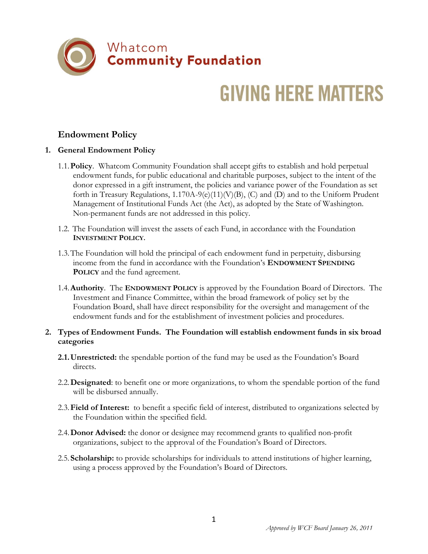

## **GIVING HERE MATTERS**

## **Endowment Policy**

## **1. General Endowment Policy**

- 1.1.**Policy**. Whatcom Community Foundation shall accept gifts to establish and hold perpetual endowment funds, for public educational and charitable purposes, subject to the intent of the donor expressed in a gift instrument, the policies and variance power of the Foundation as set forth in Treasury Regulations,  $1.170A-9(e)(11)(V)(B)$ , (C) and (D) and to the Uniform Prudent Management of Institutional Funds Act (the Act), as adopted by the State of Washington. Non-permanent funds are not addressed in this policy.
- 1.2. The Foundation will invest the assets of each Fund, in accordance with the Foundation **INVESTMENT POLICY.**
- 1.3.The Foundation will hold the principal of each endowment fund in perpetuity, disbursing income from the fund in accordance with the Foundation's **ENDOWMENT SPENDING POLICY** and the fund agreement.
- 1.4.**Authority**. The **ENDOWMENT POLICY** is approved by the Foundation Board of Directors. The Investment and Finance Committee, within the broad framework of policy set by the Foundation Board, shall have direct responsibility for the oversight and management of the endowment funds and for the establishment of investment policies and procedures.

## **2. Types of Endowment Funds. The Foundation will establish endowment funds in six broad categories**

- **2.1.Unrestricted:** the spendable portion of the fund may be used as the Foundation's Board directs.
- 2.2.**Designated**: to benefit one or more organizations, to whom the spendable portion of the fund will be disbursed annually.
- 2.3.**Field of Interest:** to benefit a specific field of interest, distributed to organizations selected by the Foundation within the specified field.
- 2.4.**Donor Advised:** the donor or designee may recommend grants to qualified non-profit organizations, subject to the approval of the Foundation's Board of Directors.
- 2.5.**Scholarship:** to provide scholarships for individuals to attend institutions of higher learning, using a process approved by the Foundation's Board of Directors.